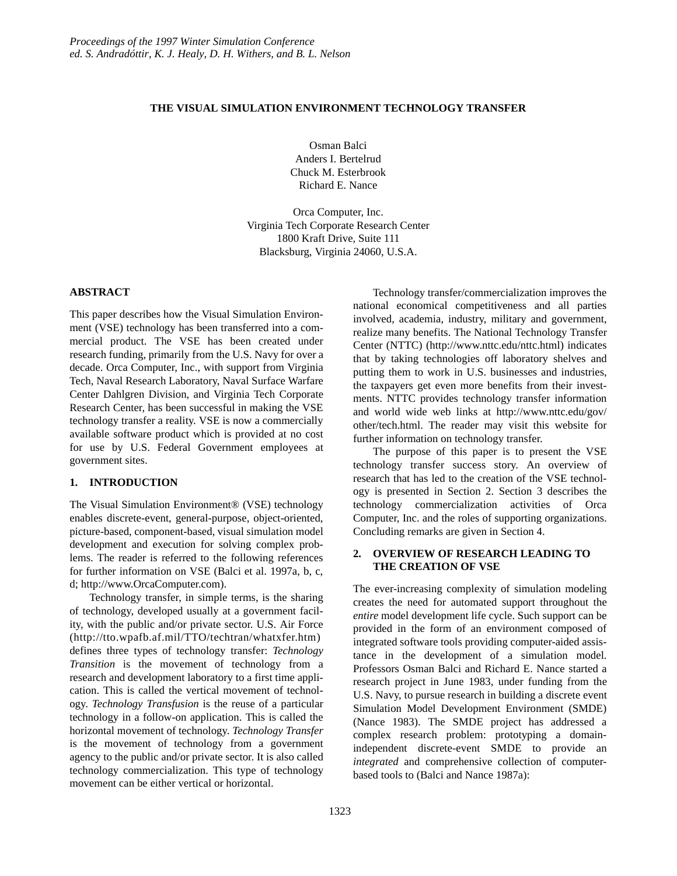### **THE VISUAL SIMULATION ENVIRONMENT TECHNOLOGY TRANSFER**

Osman Balci Anders I. Bertelrud Chuck M. Esterbrook Richard E. Nance

Orca Computer, Inc. Virginia Tech Corporate Research Center 1800 Kraft Drive, Suite 111 Blacksburg, Virginia 24060, U.S.A.

### **ABSTRACT**

This paper describes how the Visual Simulation Environment (VSE) technology has been transferred into a commercial product. The VSE has been created under research funding, primarily from the U.S. Navy for over a decade. Orca Computer, Inc., with support from Virginia Tech, Naval Research Laboratory, Naval Surface Warfare Center Dahlgren Division, and Virginia Tech Corporate Research Center, has been successful in making the VSE technology transfer a reality. VSE is now a commercially available software product which is provided at no cost for use by U.S. Federal Government employees at government sites.

# **1. INTRODUCTION**

The Visual Simulation Environment® (VSE) technology enables discrete-event, general-purpose, object-oriented, picture-based, component-based, visual simulation model development and execution for solving complex problems. The reader is referred to the following references for further information on VSE (Balci et al. 1997a, b, c, d; http://www.OrcaComputer.com).

Technology transfer, in simple terms, is the sharing of technology, developed usually at a government facility, with the public and/or private sector. U.S. Air Force (http://tto.wpafb.af.mil/TTO/techtran/whatxfer.htm) defines three types of technology transfer: *Technology Transition* is the movement of technology from a research and development laboratory to a first time application. This is called the vertical movement of technology. *Technology Transfusion* is the reuse of a particular technology in a follow-on application. This is called the horizontal movement of technology. *Technology Transfer* is the movement of technology from a government agency to the public and/or private sector. It is also called technology commercialization. This type of technology movement can be either vertical or horizontal.

Technology transfer/commercialization improves the national economical competitiveness and all parties involved, academia, industry, military and government, realize many benefits. The National Technology Transfer Center (NTTC) (http://www.nttc.edu/nttc.html) indicates that by taking technologies off laboratory shelves and putting them to work in U.S. businesses and industries, the taxpayers get even more benefits from their investments. NTTC provides technology transfer information and world wide web links at http://www.nttc.edu/gov/ other/tech.html. The reader may visit this website for further information on technology transfer.

The purpose of this paper is to present the VSE technology transfer success story. An overview of research that has led to the creation of the VSE technology is presented in Section 2. Section 3 describes the technology commercialization activities of Orca Computer, Inc. and the roles of supporting organizations. Concluding remarks are given in Section 4.

## **2. OVERVIEW OF RESEARCH LEADING TO THE CREATION OF VSE**

The ever-increasing complexity of simulation modeling creates the need for automated support throughout the *entire* model development life cycle. Such support can be provided in the form of an environment composed of integrated software tools providing computer-aided assistance in the development of a simulation model. Professors Osman Balci and Richard E. Nance started a research project in June 1983, under funding from the U.S. Navy, to pursue research in building a discrete event Simulation Model Development Environment (SMDE) (Nance 1983). The SMDE project has addressed a complex research problem: prototyping a domainindependent discrete-event SMDE to provide an *integrated* and comprehensive collection of computerbased tools to (Balci and Nance 1987a):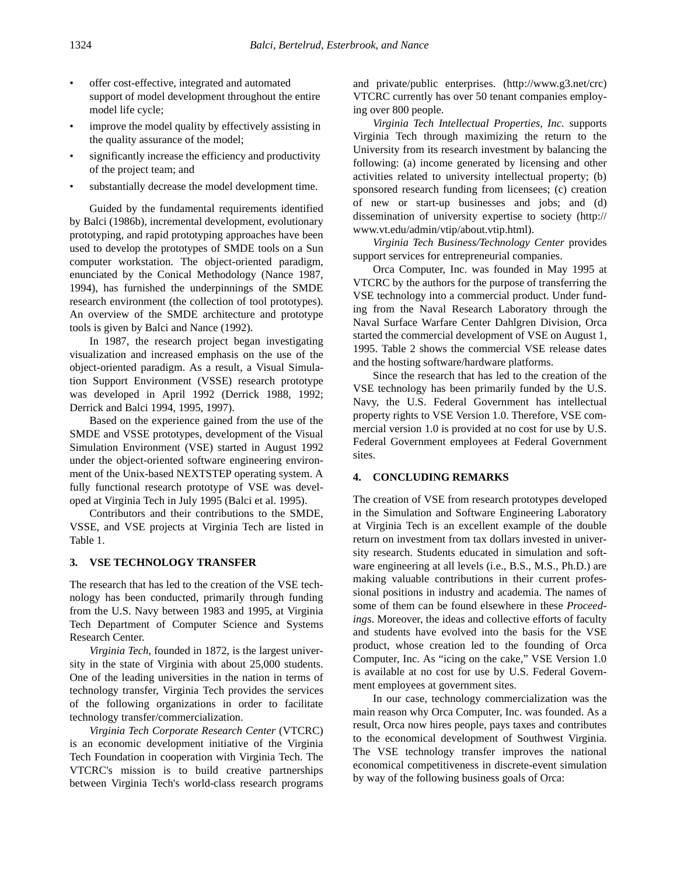- offer cost-effective, integrated and automated support of model development throughout the entire model life cycle;
- improve the model quality by effectively assisting in the quality assurance of the model;
- significantly increase the efficiency and productivity of the project team; and
- substantially decrease the model development time.

Guided by the fundamental requirements identified by Balci (1986b), incremental development, evolutionary prototyping, and rapid prototyping approaches have been used to develop the prototypes of SMDE tools on a Sun computer workstation. The object-oriented paradigm, enunciated by the Conical Methodology (Nance 1987, 1994), has furnished the underpinnings of the SMDE research environment (the collection of tool prototypes). An overview of the SMDE architecture and prototype tools is given by Balci and Nance (1992).

In 1987, the research project began investigating visualization and increased emphasis on the use of the object-oriented paradigm. As a result, a Visual Simulation Support Environment (VSSE) research prototype was developed in April 1992 (Derrick 1988, 1992; Derrick and Balci 1994, 1995, 1997).

Based on the experience gained from the use of the SMDE and VSSE prototypes, development of the Visual Simulation Environment (VSE) started in August 1992 under the object-oriented software engineering environment of the Unix-based NEXTSTEP operating system. A fully functional research prototype of VSE was developed at Virginia Tech in July 1995 (Balci et al. 1995).

Contributors and their contributions to the SMDE, VSSE, and VSE projects at Virginia Tech are listed in [Table 1.](#page-2-0)

### **3. VSE TECHNOLOGY TRANSFER**

The research that has led to the creation of the VSE technology has been conducted, primarily through funding from the U.S. Navy between 1983 and 1995, at Virginia Tech Department of Computer Science and Systems Research Center.

*Virginia Tech*, founded in 1872, is the largest university in the state of Virginia with about 25,000 students. One of the leading universities in the nation in terms of technology transfer, Virginia Tech provides the services of the following organizations in order to facilitate technology transfer/commercialization.

*Virginia Tech Corporate Research Center* (VTCRC) is an economic development initiative of the Virginia Tech Foundation in cooperation with Virginia Tech. The VTCRC's mission is to build creative partnerships between Virginia Tech's world-class research programs

and private/public enterprises. (http://www.g3.net/crc) VTCRC currently has over 50 tenant companies employing over 800 people.

*Virginia Tech Intellectual Properties, Inc.* supports Virginia Tech through maximizing the return to the University from its research investment by balancing the following: (a) income generated by licensing and other activities related to university intellectual property; (b) sponsored research funding from licensees; (c) creation of new or start-up businesses and jobs; and (d) dissemination of university expertise to society (http:// www.vt.edu/admin/vtip/about.vtip.html).

*Virginia Tech Business/Technology Center* provides support services for entrepreneurial companies.

Orca Computer, Inc. was founded in May 1995 at VTCRC by the authors for the purpose of transferring the VSE technology into a commercial product. Under funding from the Naval Research Laboratory through the Naval Surface Warfare Center Dahlgren Division, Orca started the commercial development of VSE on August 1, 1995. [Table 2](#page-3-0) shows the commercial VSE release dates and the hosting software/hardware platforms.

Since the research that has led to the creation of the VSE technology has been primarily funded by the U.S. Navy, the U.S. Federal Government has intellectual property rights to VSE Version 1.0. Therefore, VSE commercial version 1.0 is provided at no cost for use by U.S. Federal Government employees at Federal Government sites.

## **4. CONCLUDING REMARKS**

The creation of VSE from research prototypes developed in the Simulation and Software Engineering Laboratory at Virginia Tech is an excellent example of the double return on investment from tax dollars invested in university research. Students educated in simulation and software engineering at all levels (i.e., B.S., M.S., Ph.D.) are making valuable contributions in their current professional positions in industry and academia. The names of some of them can be found elsewhere in these *Proceedings*. Moreover, the ideas and collective efforts of faculty and students have evolved into the basis for the VSE product, whose creation led to the founding of Orca Computer, Inc. As "icing on the cake," VSE Version 1.0 is available at no cost for use by U.S. Federal Government employees at government sites.

In our case, technology commercialization was the main reason why Orca Computer, Inc. was founded. As a result, Orca now hires people, pays taxes and contributes to the economical development of Southwest Virginia. The VSE technology transfer improves the national economical competitiveness in discrete-event simulation by way of the following business goals of Orca: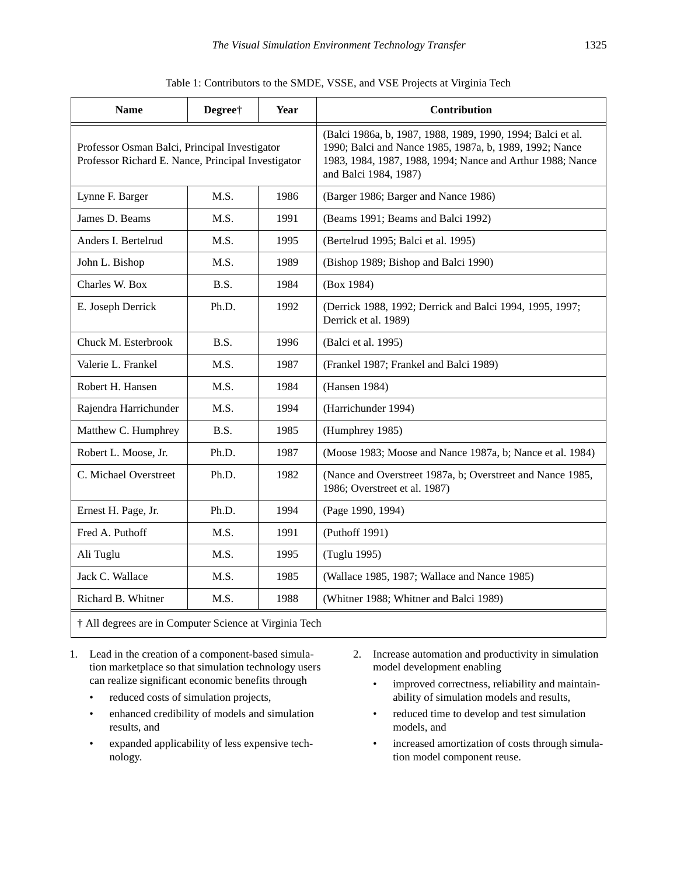<span id="page-2-0"></span>

| <b>Name</b>                                                                                         | Degree <sup>+</sup> | Year | Contribution                                                                                                                                                                                                  |  |
|-----------------------------------------------------------------------------------------------------|---------------------|------|---------------------------------------------------------------------------------------------------------------------------------------------------------------------------------------------------------------|--|
| Professor Osman Balci, Principal Investigator<br>Professor Richard E. Nance, Principal Investigator |                     |      | (Balci 1986a, b, 1987, 1988, 1989, 1990, 1994; Balci et al.<br>1990; Balci and Nance 1985, 1987a, b, 1989, 1992; Nance<br>1983, 1984, 1987, 1988, 1994; Nance and Arthur 1988; Nance<br>and Balci 1984, 1987) |  |
| Lynne F. Barger                                                                                     | M.S.                | 1986 | (Barger 1986; Barger and Nance 1986)                                                                                                                                                                          |  |
| James D. Beams                                                                                      | M.S.                | 1991 | (Beams 1991; Beams and Balci 1992)                                                                                                                                                                            |  |
| Anders I. Bertelrud                                                                                 | M.S.                | 1995 | (Bertelrud 1995; Balci et al. 1995)                                                                                                                                                                           |  |
| John L. Bishop                                                                                      | M.S.                | 1989 | (Bishop 1989; Bishop and Balci 1990)                                                                                                                                                                          |  |
| Charles W. Box                                                                                      | B.S.                | 1984 | (Box 1984)                                                                                                                                                                                                    |  |
| E. Joseph Derrick                                                                                   | Ph.D.               | 1992 | (Derrick 1988, 1992; Derrick and Balci 1994, 1995, 1997;<br>Derrick et al. 1989)                                                                                                                              |  |
| Chuck M. Esterbrook                                                                                 | B.S.                | 1996 | (Balci et al. 1995)                                                                                                                                                                                           |  |
| Valerie L. Frankel                                                                                  | M.S.                | 1987 | (Frankel 1987; Frankel and Balci 1989)                                                                                                                                                                        |  |
| Robert H. Hansen                                                                                    | M.S.                | 1984 | (Hansen 1984)                                                                                                                                                                                                 |  |
| Rajendra Harrichunder                                                                               | M.S.                | 1994 | (Harrichunder 1994)                                                                                                                                                                                           |  |
| Matthew C. Humphrey                                                                                 | B.S.                | 1985 | (Humphrey 1985)                                                                                                                                                                                               |  |
| Robert L. Moose, Jr.                                                                                | Ph.D.               | 1987 | (Moose 1983; Moose and Nance 1987a, b; Nance et al. 1984)                                                                                                                                                     |  |
| C. Michael Overstreet                                                                               | Ph.D.               | 1982 | (Nance and Overstreet 1987a, b; Overstreet and Nance 1985,<br>1986; Overstreet et al. 1987)                                                                                                                   |  |
| Ernest H. Page, Jr.                                                                                 | Ph.D.               | 1994 | (Page 1990, 1994)                                                                                                                                                                                             |  |
| Fred A. Puthoff                                                                                     | M.S.                | 1991 | (Puthoff 1991)                                                                                                                                                                                                |  |
| Ali Tuglu                                                                                           | M.S.                | 1995 | (Tuglu 1995)                                                                                                                                                                                                  |  |
| Jack C. Wallace                                                                                     | M.S.                | 1985 | (Wallace 1985, 1987; Wallace and Nance 1985)                                                                                                                                                                  |  |
| Richard B. Whitner                                                                                  | M.S.                | 1988 | (Whitner 1988; Whitner and Balci 1989)                                                                                                                                                                        |  |

Table 1: Contributors to the SMDE, VSSE, and VSE Projects at Virginia Tech

† All degrees are in Computer Science at Virginia Tech

- 1. Lead in the creation of a component-based simulation marketplace so that simulation technology users can realize significant economic benefits through
	- reduced costs of simulation projects,
	- enhanced credibility of models and simulation results, and
	- expanded applicability of less expensive technology.
- 2. Increase automation and productivity in simulation model development enabling
	- improved correctness, reliability and maintainability of simulation models and results,
	- reduced time to develop and test simulation models, and
	- increased amortization of costs through simulation model component reuse.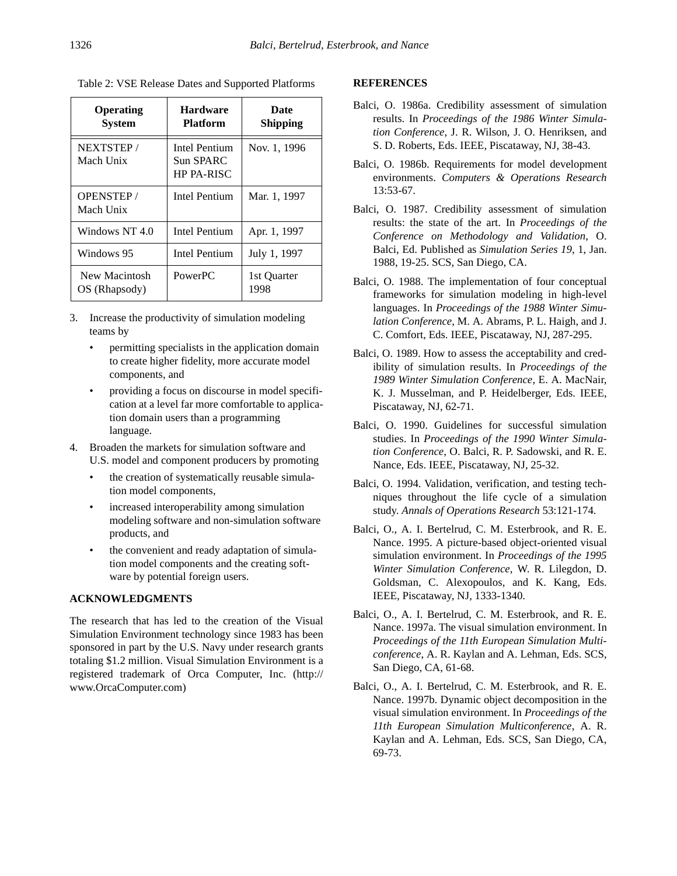| Operating<br><b>System</b>     | <b>Hardware</b><br><b>Platform</b>                     | Date<br><b>Shipping</b> |
|--------------------------------|--------------------------------------------------------|-------------------------|
| NEXTSTEP /<br>Mach Unix        | <b>Intel Pentium</b><br>Sun SPARC<br><b>HP PA-RISC</b> | Nov. 1, 1996            |
| <b>OPENSTEP/</b><br>Mach Unix  | <b>Intel Pentium</b>                                   | Mar. 1, 1997            |
| Windows NT 4.0                 | Intel Pentium                                          | Apr. 1, 1997            |
| Windows 95                     | Intel Pentium                                          | July 1, 1997            |
| New Macintosh<br>OS (Rhapsody) | PowerPC                                                | 1st Quarter<br>1998     |

<span id="page-3-0"></span>Table 2: VSE Release Dates and Supported Platforms

- 3. Increase the productivity of simulation modeling teams by
	- permitting specialists in the application domain to create higher fidelity, more accurate model components, and
	- providing a focus on discourse in model specification at a level far more comfortable to application domain users than a programming language.
- 4. Broaden the markets for simulation software and U.S. model and component producers by promoting
	- the creation of systematically reusable simulation model components,
	- increased interoperability among simulation modeling software and non-simulation software products, and
	- the convenient and ready adaptation of simulation model components and the creating software by potential foreign users.

# **ACKNOWLEDGMENTS**

The research that has led to the creation of the Visual Simulation Environment technology since 1983 has been sponsored in part by the U.S. Navy under research grants totaling \$1.2 million. Visual Simulation Environment is a registered trademark of Orca Computer, Inc. (http:// www.OrcaComputer.com)

### **REFERENCES**

- Balci, O. 1986a. Credibility assessment of simulation results. In *Proceedings of the 1986 Winter Simulation Conference*, J. R. Wilson, J. O. Henriksen, and S. D. Roberts, Eds. IEEE, Piscataway, NJ, 38-43.
- Balci, O. 1986b. Requirements for model development environments. *Computers & Operations Research* 13:53-67.
- Balci, O. 1987. Credibility assessment of simulation results: the state of the art. In *Proceedings of the Conference on Methodology and Validation*, O. Balci, Ed. Published as *Simulation Series 19*, 1, Jan. 1988, 19-25. SCS, San Diego, CA.
- Balci, O. 1988. The implementation of four conceptual frameworks for simulation modeling in high-level languages. In *Proceedings of the 1988 Winter Simulation Conference*, M. A. Abrams, P. L. Haigh, and J. C. Comfort, Eds. IEEE, Piscataway, NJ, 287-295.
- Balci, O. 1989. How to assess the acceptability and credibility of simulation results. In *Proceedings of the 1989 Winter Simulation Conference*, E. A. MacNair, K. J. Musselman, and P. Heidelberger, Eds. IEEE, Piscataway, NJ, 62-71.
- Balci, O. 1990. Guidelines for successful simulation studies. In *Proceedings of the 1990 Winter Simulation Conference*, O. Balci, R. P. Sadowski, and R. E. Nance, Eds. IEEE, Piscataway, NJ, 25-32.
- Balci, O. 1994. Validation, verification, and testing techniques throughout the life cycle of a simulation study. *Annals of Operations Research* 53:121-174.
- Balci, O., A. I. Bertelrud, C. M. Esterbrook, and R. E. Nance. 1995. A picture-based object-oriented visual simulation environment. In *Proceedings of the 1995 Winter Simulation Conference*, W. R. Lilegdon, D. Goldsman, C. Alexopoulos, and K. Kang, Eds. IEEE, Piscataway, NJ, 1333-1340.
- Balci, O., A. I. Bertelrud, C. M. Esterbrook, and R. E. Nance. 1997a. The visual simulation environment. In *Proceedings of the 11th European Simulation Multiconference*, A. R. Kaylan and A. Lehman, Eds. SCS, San Diego, CA, 61-68.
- Balci, O., A. I. Bertelrud, C. M. Esterbrook, and R. E. Nance. 1997b. Dynamic object decomposition in the visual simulation environment. In *Proceedings of the 11th European Simulation Multiconference*, A. R. Kaylan and A. Lehman, Eds. SCS, San Diego, CA, 69-73.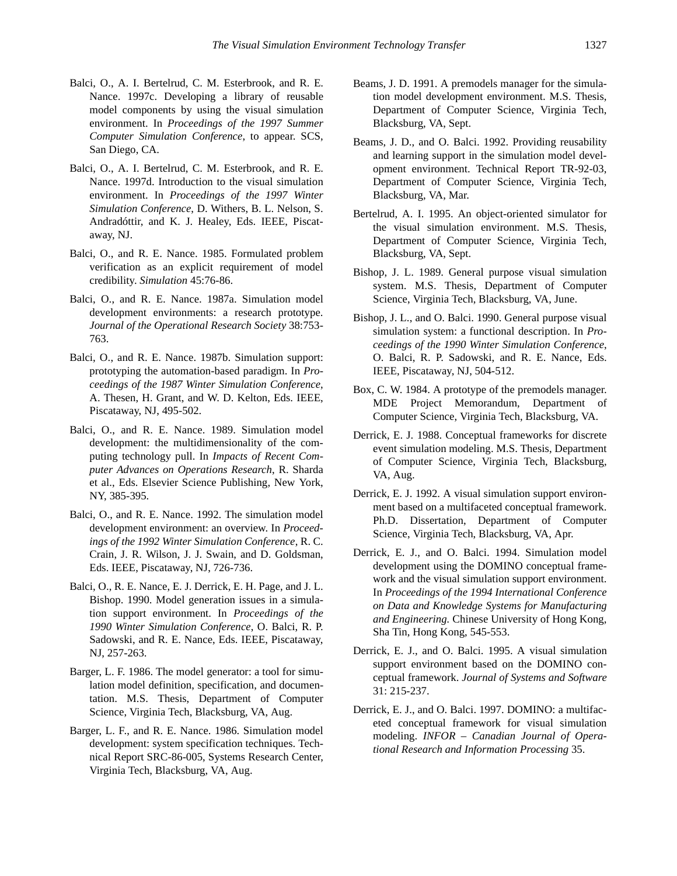- Balci, O., A. I. Bertelrud, C. M. Esterbrook, and R. E. Nance. 1997c. Developing a library of reusable model components by using the visual simulation environment. In *Proceedings of the 1997 Summer Computer Simulation Conference*, to appear. SCS, San Diego, CA.
- Balci, O., A. I. Bertelrud, C. M. Esterbrook, and R. E. Nance. 1997d. Introduction to the visual simulation environment. In *Proceedings of the 1997 Winter Simulation Conference*, D. Withers, B. L. Nelson, S. Andradóttir, and K. J. Healey, Eds. IEEE, Piscataway, NJ.
- Balci, O., and R. E. Nance. 1985. Formulated problem verification as an explicit requirement of model credibility. *Simulation* 45:76-86.
- Balci, O., and R. E. Nance. 1987a. Simulation model development environments: a research prototype. *Journal of the Operational Research Society* 38:753- 763.
- Balci, O., and R. E. Nance. 1987b. Simulation support: prototyping the automation-based paradigm. In *Proceedings of the 1987 Winter Simulation Conference*, A. Thesen, H. Grant, and W. D. Kelton, Eds. IEEE, Piscataway, NJ, 495-502.
- Balci, O., and R. E. Nance. 1989. Simulation model development: the multidimensionality of the computing technology pull. In *Impacts of Recent Computer Advances on Operations Research*, R. Sharda et al., Eds. Elsevier Science Publishing, New York, NY, 385-395.
- Balci, O., and R. E. Nance. 1992. The simulation model development environment: an overview. In *Proceedings of the 1992 Winter Simulation Conference*, R. C. Crain, J. R. Wilson, J. J. Swain, and D. Goldsman, Eds. IEEE, Piscataway, NJ, 726-736.
- Balci, O., R. E. Nance, E. J. Derrick, E. H. Page, and J. L. Bishop. 1990. Model generation issues in a simulation support environment. In *Proceedings of the 1990 Winter Simulation Conference*, O. Balci, R. P. Sadowski, and R. E. Nance, Eds. IEEE, Piscataway, NJ, 257-263.
- Barger, L. F. 1986. The model generator: a tool for simulation model definition, specification, and documentation. M.S. Thesis, Department of Computer Science, Virginia Tech, Blacksburg, VA, Aug.
- Barger, L. F., and R. E. Nance. 1986. Simulation model development: system specification techniques. Technical Report SRC-86-005, Systems Research Center, Virginia Tech, Blacksburg, VA, Aug.
- Beams, J. D. 1991. A premodels manager for the simulation model development environment. M.S. Thesis, Department of Computer Science, Virginia Tech, Blacksburg, VA, Sept.
- Beams, J. D., and O. Balci. 1992. Providing reusability and learning support in the simulation model development environment. Technical Report TR-92-03, Department of Computer Science, Virginia Tech, Blacksburg, VA, Mar.
- Bertelrud, A. I. 1995. An object-oriented simulator for the visual simulation environment. M.S. Thesis, Department of Computer Science, Virginia Tech, Blacksburg, VA, Sept.
- Bishop, J. L. 1989. General purpose visual simulation system. M.S. Thesis, Department of Computer Science, Virginia Tech, Blacksburg, VA, June.
- Bishop, J. L., and O. Balci. 1990. General purpose visual simulation system: a functional description. In *Proceedings of the 1990 Winter Simulation Conference*, O. Balci, R. P. Sadowski, and R. E. Nance, Eds. IEEE, Piscataway, NJ, 504-512.
- Box, C. W. 1984. A prototype of the premodels manager. MDE Project Memorandum, Department of Computer Science, Virginia Tech, Blacksburg, VA.
- Derrick, E. J. 1988. Conceptual frameworks for discrete event simulation modeling. M.S. Thesis, Department of Computer Science, Virginia Tech, Blacksburg, VA, Aug.
- Derrick, E. J. 1992. A visual simulation support environment based on a multifaceted conceptual framework. Ph.D. Dissertation, Department of Computer Science, Virginia Tech, Blacksburg, VA, Apr.
- Derrick, E. J., and O. Balci. 1994. Simulation model development using the DOMINO conceptual framework and the visual simulation support environment. In *Proceedings of the 1994 International Conference on Data and Knowledge Systems for Manufacturing and Engineering.* Chinese University of Hong Kong, Sha Tin, Hong Kong, 545-553.
- Derrick, E. J., and O. Balci. 1995. A visual simulation support environment based on the DOMINO conceptual framework. *Journal of Systems and Software* 31: 215-237.
- Derrick, E. J., and O. Balci. 1997. DOMINO: a multifaceted conceptual framework for visual simulation modeling. *INFOR – Canadian Journal of Operational Research and Information Processing* 35.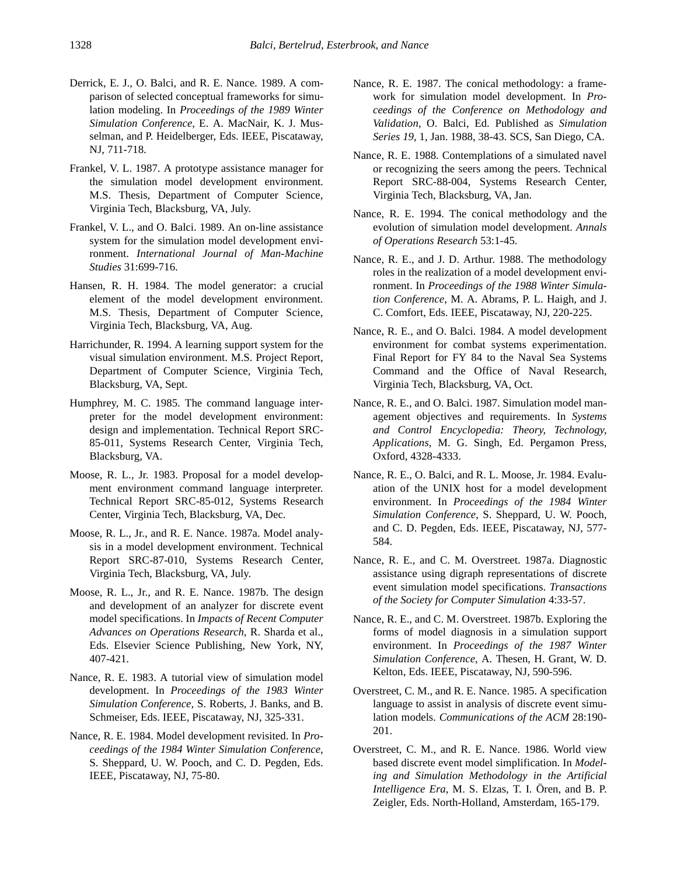- Derrick, E. J., O. Balci, and R. E. Nance. 1989. A comparison of selected conceptual frameworks for simulation modeling. In *Proceedings of the 1989 Winter Simulation Conference*, E. A. MacNair, K. J. Musselman, and P. Heidelberger, Eds. IEEE, Piscataway, NJ, 711-718.
- Frankel, V. L. 1987. A prototype assistance manager for the simulation model development environment. M.S. Thesis, Department of Computer Science, Virginia Tech, Blacksburg, VA, July.
- Frankel, V. L., and O. Balci. 1989. An on-line assistance system for the simulation model development environment. *International Journal of Man-Machine Studies* 31:699-716.
- Hansen, R. H. 1984. The model generator: a crucial element of the model development environment. M.S. Thesis, Department of Computer Science, Virginia Tech, Blacksburg, VA, Aug.
- Harrichunder, R. 1994. A learning support system for the visual simulation environment. M.S. Project Report, Department of Computer Science, Virginia Tech, Blacksburg, VA, Sept.
- Humphrey, M. C. 1985. The command language interpreter for the model development environment: design and implementation. Technical Report SRC-85-011, Systems Research Center, Virginia Tech, Blacksburg, VA.
- Moose, R. L., Jr. 1983. Proposal for a model development environment command language interpreter. Technical Report SRC-85-012, Systems Research Center, Virginia Tech, Blacksburg, VA, Dec.
- Moose, R. L., Jr., and R. E. Nance. 1987a. Model analysis in a model development environment. Technical Report SRC-87-010, Systems Research Center, Virginia Tech, Blacksburg, VA, July.
- Moose, R. L., Jr., and R. E. Nance. 1987b. The design and development of an analyzer for discrete event model specifications. In *Impacts of Recent Computer Advances on Operations Research*, R. Sharda et al., Eds. Elsevier Science Publishing, New York, NY, 407-421.
- Nance, R. E. 1983. A tutorial view of simulation model development. In *Proceedings of the 1983 Winter Simulation Conference*, S. Roberts, J. Banks, and B. Schmeiser, Eds. IEEE, Piscataway, NJ, 325-331.
- Nance, R. E. 1984. Model development revisited. In *Proceedings of the 1984 Winter Simulation Conference*, S. Sheppard, U. W. Pooch, and C. D. Pegden, Eds. IEEE, Piscataway, NJ, 75-80.
- Nance, R. E. 1987. The conical methodology: a framework for simulation model development. In *Proceedings of the Conference on Methodology and Validation*, O. Balci, Ed. Published as *Simulation Series 19*, 1, Jan. 1988, 38-43. SCS, San Diego, CA.
- Nance, R. E. 1988. Contemplations of a simulated navel or recognizing the seers among the peers. Technical Report SRC-88-004, Systems Research Center, Virginia Tech, Blacksburg, VA, Jan.
- Nance, R. E. 1994. The conical methodology and the evolution of simulation model development. *Annals of Operations Research* 53:1-45.
- Nance, R. E., and J. D. Arthur. 1988. The methodology roles in the realization of a model development environment. In *Proceedings of the 1988 Winter Simulation Conference*, M. A. Abrams, P. L. Haigh, and J. C. Comfort, Eds. IEEE, Piscataway, NJ, 220-225.
- Nance, R. E., and O. Balci. 1984. A model development environment for combat systems experimentation. Final Report for FY 84 to the Naval Sea Systems Command and the Office of Naval Research, Virginia Tech, Blacksburg, VA, Oct.
- Nance, R. E., and O. Balci. 1987. Simulation model management objectives and requirements. In *Systems and Control Encyclopedia: Theory, Technology, Applications*, M. G. Singh, Ed. Pergamon Press, Oxford, 4328-4333.
- Nance, R. E., O. Balci, and R. L. Moose, Jr. 1984. Evaluation of the UNIX host for a model development environment. In *Proceedings of the 1984 Winter Simulation Conference*, S. Sheppard, U. W. Pooch, and C. D. Pegden, Eds. IEEE, Piscataway, NJ, 577- 584.
- Nance, R. E., and C. M. Overstreet. 1987a. Diagnostic assistance using digraph representations of discrete event simulation model specifications. *Transactions of the Society for Computer Simulation* 4:33-57.
- Nance, R. E., and C. M. Overstreet. 1987b. Exploring the forms of model diagnosis in a simulation support environment. In *Proceedings of the 1987 Winter Simulation Conference*, A. Thesen, H. Grant, W. D. Kelton, Eds. IEEE, Piscataway, NJ, 590-596.
- Overstreet, C. M., and R. E. Nance. 1985. A specification language to assist in analysis of discrete event simulation models. *Communications of the ACM* 28:190- 201.
- Overstreet, C. M., and R. E. Nance. 1986. World view based discrete event model simplification. In *Modeling and Simulation Methodology in the Artificial Intelligence Era*, M. S. Elzas, T. I. Ören, and B. P. Zeigler, Eds. North-Holland, Amsterdam, 165-179.